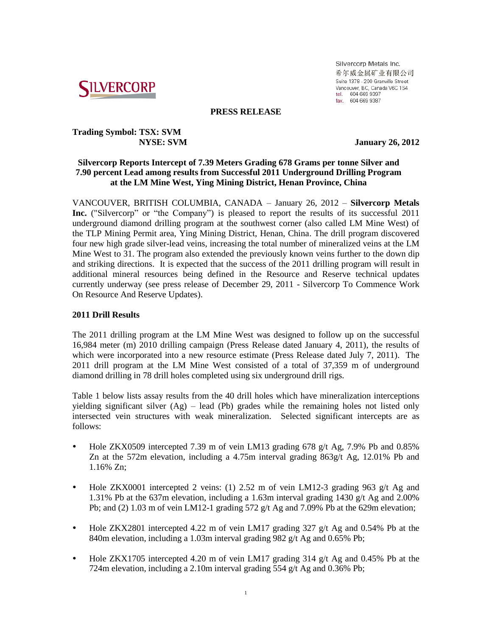

Silvercorp Metals Inc. 希尔威金属矿业有限公司 Suite 1378 - 200 Granville Street Vancouver, BC, Canada V6C 1S4 tel. 604 669 9397<br>fax. 604 669 9397

#### **PRESS RELEASE**

# **Trading Symbol: TSX: SVM**

 **NYSE: SVM January 26, 2012**

# **Silvercorp Reports Intercept of 7.39 Meters Grading 678 Grams per tonne Silver and 7.90 percent Lead among results from Successful 2011 Underground Drilling Program at the LM Mine West, Ying Mining District, Henan Province, China**

VANCOUVER, BRITISH COLUMBIA, CANADA – January 26, 2012 – **Silvercorp Metals Inc.** ("Silvercorp" or "the Company") is pleased to report the results of its successful 2011 underground diamond drilling program at the southwest corner (also called LM Mine West) of the TLP Mining Permit area, Ying Mining District, Henan, China. The drill program discovered four new high grade silver-lead veins, increasing the total number of mineralized veins at the LM Mine West to 31. The program also extended the previously known veins further to the down dip and striking directions. It is expected that the success of the 2011 drilling program will result in additional mineral resources being defined in the Resource and Reserve technical updates currently underway (see press release of December 29, 2011 - Silvercorp To Commence Work On Resource And Reserve Updates).

# **2011 Drill Results**

The 2011 drilling program at the LM Mine West was designed to follow up on the successful 16,984 meter (m) 2010 drilling campaign (Press Release dated January 4, 2011), the results of which were incorporated into a new resource estimate (Press Release dated July 7, 2011). The 2011 drill program at the LM Mine West consisted of a total of 37,359 m of underground diamond drilling in 78 drill holes completed using six underground drill rigs.

Table 1 below lists assay results from the 40 drill holes which have mineralization interceptions yielding significant silver (Ag) – lead (Pb) grades while the remaining holes not listed only intersected vein structures with weak mineralization. Selected significant intercepts are as follows:

- Hole ZKX0509 intercepted 7.39 m of vein LM13 grading 678 g/t Ag, 7.9% Pb and 0.85% Zn at the 572m elevation, including a 4.75m interval grading  $863g/t$  Ag, 12.01% Pb and 1.16% Zn;
- Hole ZKX0001 intercepted 2 veins: (1) 2.52 m of vein LM12-3 grading 963 g/t Ag and 1.31% Pb at the 637m elevation, including a 1.63m interval grading 1430 g/t Ag and 2.00% Pb; and (2) 1.03 m of vein LM12-1 grading 572 g/t Ag and 7.09% Pb at the 629m elevation;
- Hole ZKX2801 intercepted 4.22 m of vein LM17 grading 327 g/t Ag and 0.54% Pb at the 840m elevation, including a 1.03m interval grading 982 g/t Ag and 0.65% Pb;
- $\bullet$  Hole ZKX1705 intercepted 4.20 m of vein LM17 grading 314 g/t Ag and 0.45% Pb at the 724m elevation, including a 2.10m interval grading 554 g/t Ag and 0.36% Pb;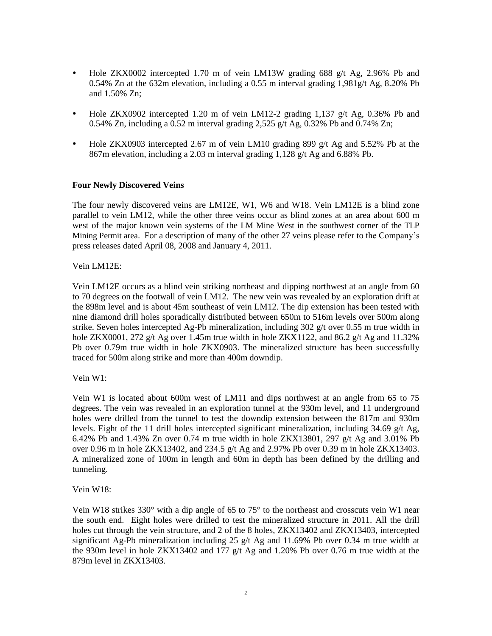- Hole ZKX0002 intercepted 1.70 m of vein LM13W grading 688 g/t Ag, 2.96% Pb and 0.54% Zn at the 632m elevation, including a 0.55 m interval grading  $1.981g/t$  Ag,  $8.20%$  Pb and 1.50% Zn;
- Hole ZKX0902 intercepted 1.20 m of vein LM12-2 grading 1,137 g/t Ag, 0.36% Pb and 0.54% Zn, including a 0.52 m interval grading 2,525 g/t Ag, 0.32% Pb and 0.74% Zn;
- Hole ZKX0903 intercepted 2.67 m of vein LM10 grading 899 g/t Ag and 5.52% Pb at the 867m elevation, including a 2.03 m interval grading 1,128 g/t Ag and 6.88% Pb.

# **Four Newly Discovered Veins**

The four newly discovered veins are LM12E, W1, W6 and W18. Vein LM12E is a blind zone parallel to vein LM12, while the other three veins occur as blind zones at an area about 600 m west of the major known vein systems of the LM Mine West in the southwest corner of the TLP Mining Permit area. For a description of many of the other 27 veins please refer to the Company's press releases dated April 08, 2008 and January 4, 2011.

Vein LM12E:

Vein LM12E occurs as a blind vein striking northeast and dipping northwest at an angle from 60 to 70 degrees on the footwall of vein LM12. The new vein was revealed by an exploration drift at the 898m level and is about 45m southeast of vein LM12. The dip extension has been tested with nine diamond drill holes sporadically distributed between 650m to 516m levels over 500m along strike. Seven holes intercepted Ag-Pb mineralization, including 302 g/t over 0.55 m true width in hole ZKX0001, 272 g/t Ag over 1.45m true width in hole ZKX1122, and 86.2 g/t Ag and 11.32% Pb over 0.79m true width in hole ZKX0903. The mineralized structure has been successfully traced for 500m along strike and more than 400m downdip.

Vein W1:

Vein W1 is located about 600m west of LM11 and dips northwest at an angle from 65 to 75 degrees. The vein was revealed in an exploration tunnel at the 930m level, and 11 underground holes were drilled from the tunnel to test the downdip extension between the 817m and 930m levels. Eight of the 11 drill holes intercepted significant mineralization, including  $34.69$  g/t Ag, 6.42% Pb and 1.43% Zn over 0.74 m true width in hole ZKX13801, 297 g/t Ag and 3.01% Pb over 0.96 m in hole ZKX13402, and 234.5 g/t Ag and 2.97% Pb over 0.39 m in hole ZKX13403. A mineralized zone of 100m in length and 60m in depth has been defined by the drilling and tunneling.

Vein W18:

Vein W18 strikes 330° with a dip angle of 65 to 75° to the northeast and crosscuts vein W1 near the south end. Eight holes were drilled to test the mineralized structure in 2011. All the drill holes cut through the vein structure, and 2 of the 8 holes, ZKX13402 and ZKX13403, intercepted significant Ag-Pb mineralization including 25  $g/t$  Ag and 11.69% Pb over 0.34 m true width at the 930m level in hole ZKX13402 and 177  $g/t$  Ag and 1.20% Pb over 0.76 m true width at the 879m level in ZKX13403.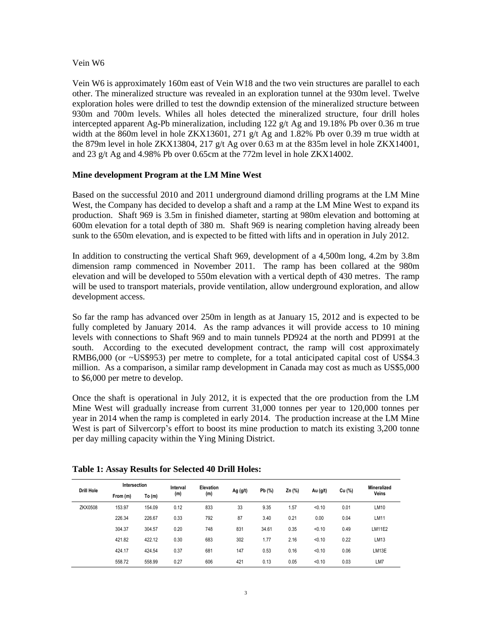#### Vein W6

Vein W6 is approximately 160m east of Vein W18 and the two vein structures are parallel to each other. The mineralized structure was revealed in an exploration tunnel at the 930m level. Twelve exploration holes were drilled to test the downdip extension of the mineralized structure between 930m and 700m levels. Whiles all holes detected the mineralized structure, four drill holes intercepted apparent Ag-Pb mineralization, including 122 g/t Ag and 19.18% Pb over 0.36 m true width at the 860m level in hole ZKX13601, 271  $g/t$  Ag and 1.82% Pb over 0.39 m true width at the 879m level in hole ZKX13804, 217 g/t Ag over 0.63 m at the 835m level in hole ZKX14001, and 23 g/t Ag and 4.98% Pb over 0.65cm at the 772m level in hole ZKX14002.

# **Mine development Program at the LM Mine West**

Based on the successful 2010 and 2011 underground diamond drilling programs at the LM Mine West, the Company has decided to develop a shaft and a ramp at the LM Mine West to expand its production. Shaft 969 is 3.5m in finished diameter, starting at 980m elevation and bottoming at 600m elevation for a total depth of 380 m. Shaft 969 is nearing completion having already been sunk to the 650m elevation, and is expected to be fitted with lifts and in operation in July 2012.

In addition to constructing the vertical Shaft 969, development of a 4,500m long, 4.2m by 3.8m dimension ramp commenced in November 2011. The ramp has been collared at the 980m elevation and will be developed to 550m elevation with a vertical depth of 430 metres. The ramp will be used to transport materials, provide ventilation, allow underground exploration, and allow development access.

So far the ramp has advanced over 250m in length as at January 15, 2012 and is expected to be fully completed by January 2014. As the ramp advances it will provide access to 10 mining levels with connections to Shaft 969 and to main tunnels PD924 at the north and PD991 at the south. According to the executed development contract, the ramp will cost approximately RMB6,000 (or ~US\$953) per metre to complete, for a total anticipated capital cost of US\$4.3 million. As a comparison, a similar ramp development in Canada may cost as much as US\$5,000 to \$6,000 per metre to develop.

Once the shaft is operational in July 2012, it is expected that the ore production from the LM Mine West will gradually increase from current 31,000 tonnes per year to 120,000 tonnes per year in 2014 when the ramp is completed in early 2014. The production increase at the LM Mine West is part of Silvercorp's effort to boost its mine production to match its existing 3,200 tonne per day milling capacity within the Ying Mining District.

| <b>Drill Hole</b> | Intersection |        | Interval | Elevation |            |        |        |          |        | Mineralized |
|-------------------|--------------|--------|----------|-----------|------------|--------|--------|----------|--------|-------------|
|                   | From (m)     | To(m)  | (m)      | (m)       | Ag $(g/t)$ | Pb (%) | Zn (%) | Au (g/t) | Cu (%) | Veins       |
| ZKX0508           | 153.97       | 154.09 | 0.12     | 833       | 33         | 9.35   | 1.57   | < 0.10   | 0.01   | LM10        |
|                   | 226.34       | 226.67 | 0.33     | 792       | 87         | 3.40   | 0.21   | 0.00     | 0.04   | LM11        |
|                   | 304.37       | 304.57 | 0.20     | 748       | 831        | 34.61  | 0.35   | < 0.10   | 0.49   | LM11E2      |
|                   | 421.82       | 422.12 | 0.30     | 683       | 302        | 1.77   | 2.16   | < 0.10   | 0.22   | LM13        |
|                   | 424.17       | 424.54 | 0.37     | 681       | 147        | 0.53   | 0.16   | < 0.10   | 0.06   | LM13E       |
|                   | 558.72       | 558.99 | 0.27     | 606       | 421        | 0.13   | 0.05   | < 0.10   | 0.03   | LM7         |

#### **Table 1: Assay Results for Selected 40 Drill Holes:**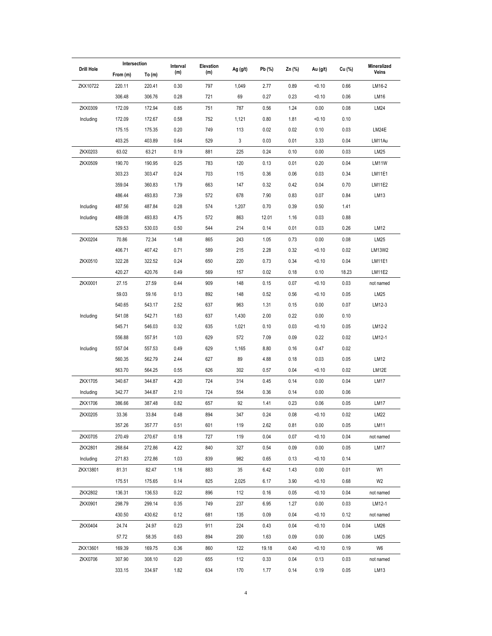| <b>Drill Hole</b> | Intersection |        | Interval | Elevation |          |        |        |          |        | Mineralized    |  |
|-------------------|--------------|--------|----------|-----------|----------|--------|--------|----------|--------|----------------|--|
|                   | From (m)     | To(m)  | (m)      | (m)       | Ag (g/t) | Pb (%) | Zn (%) | Au (g/t) | Cu (%) | Veins          |  |
| ZKX10722          | 220.11       | 220.41 | 0.30     | 797       | 1,049    | 2.77   | 0.89   | < 0.10   | 0.66   | LM16-2         |  |
|                   | 306.48       | 306.76 | 0.28     | 721       | 69       | 0.27   | 0.23   | < 0.10   | 0.06   | LM16           |  |
| ZKX0309           | 172.09       | 172.94 | 0.85     | 751       | 787      | 0.56   | 1.24   | 0.00     | 0.08   | LM24           |  |
| Including         | 172.09       | 172.67 | 0.58     | 752       | 1,121    | 0.80   | 1.81   | < 0.10   | 0.10   |                |  |
|                   | 175.15       | 175.35 | 0.20     | 749       | 113      | 0.02   | 0.02   | 0.10     | 0.03   | LM24E          |  |
|                   | 403.25       | 403.89 | 0.64     | 529       | 3        | 0.03   | 0.01   | 3.33     | 0.04   | LM11Au         |  |
| ZKX0203           | 63.02        | 63.21  | 0.19     | 881       | 225      | 0.24   | 0.10   | 0.00     | 0.03   | LM25           |  |
| ZKX0509           | 190.70       | 190.95 | 0.25     | 783       | 120      | 0.13   | 0.01   | 0.20     | 0.04   | LM11W          |  |
|                   | 303.23       | 303.47 | 0.24     | 703       | 115      | 0.36   | 0.06   | 0.03     | 0.34   | LM11E1         |  |
|                   | 359.04       | 360.83 | 1.79     | 663       | 147      | 0.32   | 0.42   | 0.04     | 0.70   | LM11E2         |  |
|                   | 486.44       | 493.83 | 7.39     | 572       | 678      | 7.90   | 0.83   | 0.07     | 0.84   | LM13           |  |
| Including         | 487.56       | 487.84 | 0.28     | 574       | 1,207    | 0.70   | 0.39   | 0.50     | 1.41   |                |  |
| Including         | 489.08       | 493.83 | 4.75     | 572       | 863      | 12.01  | 1.16   | 0.03     | 0.88   |                |  |
|                   | 529.53       | 530.03 | 0.50     | 544       | 214      | 0.14   | 0.01   | 0.03     | 0.26   | LM12           |  |
| ZKX0204           | 70.86        | 72.34  | 1.48     | 865       | 243      | 1.05   | 0.73   | 0.00     | 0.08   | LM25           |  |
|                   | 406.71       | 407.42 | 0.71     | 589       | 215      | 2.28   | 0.32   | 50.10    | 0.02   | LM13W2         |  |
| ZKX0510           | 322.28       | 322.52 | 0.24     | 650       | 220      | 0.73   | 0.34   | < 0.10   | 0.04   | LM11E1         |  |
|                   | 420.27       | 420.76 | 0.49     | 569       | 157      | 0.02   | 0.18   | 0.10     | 18.23  | LM11E2         |  |
| ZKX0001           | 27.15        | 27.59  | 0.44     | 909       | 148      | 0.15   | 0.07   | < 0.10   | 0.03   | not named      |  |
|                   | 59.03        | 59.16  | 0.13     | 892       | 148      | 0.52   | 0.56   | < 0.10   | 0.05   | LM25           |  |
|                   | 540.65       | 543.17 | 2.52     | 637       | 963      | 1.31   | 0.15   | 0.00     | 0.07   | LM12-3         |  |
| Including         | 541.08       | 542.71 | 1.63     | 637       | 1,430    | 2.00   | 0.22   | 0.00     | 0.10   |                |  |
|                   | 545.71       | 546.03 | 0.32     | 635       | 1,021    | 0.10   | 0.03   | 50.10    | 0.05   | LM12-2         |  |
|                   | 556.88       | 557.91 | 1.03     | 629       | 572      | 7.09   | 0.09   | 0.22     | 0.02   | LM12-1         |  |
| Including         | 557.04       | 557.53 | 0.49     | 629       | 1,165    | 8.80   | 0.16   | 0.47     | 0.02   |                |  |
|                   | 560.35       | 562.79 | 2.44     | 627       | 89       | 4.88   | 0.18   | 0.03     | 0.05   | LM12           |  |
|                   | 563.70       | 564.25 | 0.55     | 626       | 302      | 0.57   | 0.04   | < 0.10   | 0.02   | LM12E          |  |
| <b>ZKX1705</b>    | 340.67       | 344.87 | 4.20     | 724       | 314      | 0.45   | 0.14   | 0.00     | 0.04   | LM17           |  |
| Including         | 342.77       | 344.87 | 2.10     | 724       | 554      | 0.36   | 0.14   | 0.00     | 0.06   |                |  |
| ZKX1706           | 386.66       | 387.48 | 0.82     | 657       | 92       | 1.41   | 0.23   | 0.06     | 0.05   | LM17           |  |
| ZKX0205           | 33.36        | 33.84  | 0.48     | 894       | 347      | 0.24   | 0.08   | < 0.10   | 0.02   | LM22           |  |
|                   | 357.26       | 357.77 | 0.51     | 601       | 119      | 2.62   | 0.81   | 0.00     | 0.05   | LM11           |  |
| ZKX0705           | 270.49       | 270.67 | 0.18     | 727       | 119      | 0.04   | 0.07   | < 0.10   | 0.04   | not named      |  |
| ZKX2801           | 268.64       | 272.86 | 4.22     | 840       | 327      | 0.54   | 0.09   | 0.00     | 0.05   | LM17           |  |
| Including         | 271.83       | 272.86 | 1.03     | 839       | 982      | 0.65   | 0.13   | < 0.10   | 0.14   |                |  |
| ZKX13801          | 81.31        | 82.47  | 1.16     | 883       | 35       | 6.42   | 1.43   | 0.00     | 0.01   | W1             |  |
|                   | 175.51       | 175.65 | 0.14     | 825       | 2,025    | 6.17   | 3.90   | < 0.10   | 0.68   | W <sub>2</sub> |  |
| ZKX2802           | 136.31       | 136.53 | 0.22     | 896       | 112      | 0.16   | 0.05   | 50.10    | 0.04   | not named      |  |
| ZKX0901           | 298.79       | 299.14 | 0.35     | 749       | 237      | 6.95   | 1.27   | 0.00     | 0.03   | LM12-1         |  |
|                   | 430.50       | 430.62 | 0.12     | 681       | 135      | 0.09   | 0.04   | < 0.10   | 0.12   | not named      |  |
| ZKX0404           | 24.74        | 24.97  | 0.23     | 911       | 224      | 0.43   | 0.04   | 50.10    | 0.04   | LM26           |  |
|                   | 57.72        | 58.35  | 0.63     | 894       | 200      | 1.63   | 0.09   | 0.00     | 0.06   | LM25           |  |
| ZKX13601          | 169.39       | 169.75 | 0.36     | 860       | 122      | 19.18  | 0.40   | < 0.10   | 0.19   | W6             |  |
| ZKX0706           | 307.90       | 308.10 | 0.20     | 655       | 112      | 0.33   | 0.04   | 0.13     | 0.03   | not named      |  |
|                   | 333.15       | 334.97 | 1.82     | 634       | 170      | 1.77   | 0.14   | 0.19     | 0.05   | LM13           |  |
|                   |              |        |          |           |          |        |        |          |        |                |  |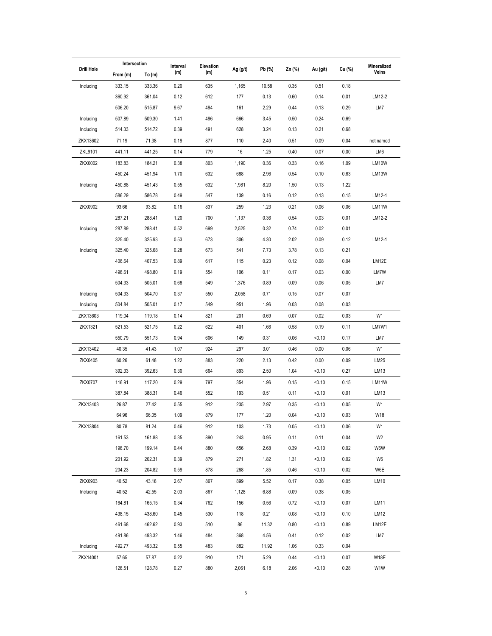|                | Intersection     |                  | Interval     | Elevation  |              |              |              |                  |              | Mineralized    |
|----------------|------------------|------------------|--------------|------------|--------------|--------------|--------------|------------------|--------------|----------------|
| Drill Hole     | From (m)         | To(m)            | (m)          | (m)        | Ag (g/t)     | Pb (%)       | Zn (%)       | Au (g/t)         | Cu (%)       | Veins          |
| Including      | 333.15           | 333.36           | 0.20         | 635        | 1,165        | 10.58        | 0.35         | 0.51             | 0.18         |                |
|                | 360.92           | 361.04           | 0.12         | 612        | 177          | 0.13         | 0.60         | 0.14             | 0.01         | LM12-2         |
|                | 506.20           | 515.87           | 9.67         | 494        | 161          | 2.29         | 0.44         | 0.13             | 0.29         | LM7            |
| Including      | 507.89           | 509.30           | 1.41         | 496        | 666          | 3.45         | 0.50         | 0.24             | 0.69         |                |
| Including      | 514.33           | 514.72           | 0.39         | 491        | 628          | 3.24         | 0.13         | 0.21             | 0.68         |                |
| ZKX13602       | 71.19            | 71.38            | 0.19         | 877        | 110          | 2.40         | 0.51         | 0.09             | 0.04         | not named      |
| ZKL9101        | 441.11           | 441.25           | 0.14         | 779        | 16           | 1.25         | 0.40         | 0.07             | 0.00         | LM6            |
| ZKX0002        | 183.83           | 184.21           | 0.38         | 803        | 1,190        | 0.36         | 0.33         | 0.16             | 1.09         | LM10W          |
|                | 450.24           | 451.94           | 1.70         | 632        | 688          | 2.96         | 0.54         | 0.10             | 0.63         | LM13W          |
| Including      | 450.88           | 451.43           | 0.55         | 632        | 1,981        | 8.20         | 1.50         | 0.13             | 1.22         |                |
|                | 586.29           | 586.78           | 0.49         | 547        | 139          | 0.16         | 0.12         | 0.13             | 0.15         | LM12-1         |
| ZKX0902        | 93.66            | 93.82            | 0.16         | 837        | 259          | 1.23         | 0.21         | 0.06             | 0.06         | LM11W          |
|                | 287.21           | 288.41           | 1.20         | 700        | 1,137        | 0.36         | 0.54         | 0.03             | 0.01         | LM12-2         |
| Including      | 287.89           | 288.41           | 0.52         | 699        | 2,525        | 0.32         | 0.74         | 0.02             | 0.01         |                |
|                | 325.40           | 325.93           | 0.53         | 673        | 306          | 4.30         | 2.02         | 0.09             | 0.12         | LM12-1         |
| Including      | 325.40           | 325.68           | 0.28         | 673        | 541          | 7.73         | 3.78         | 0.13             | 0.21         |                |
|                | 406.64           | 407.53           | 0.89         | 617        | 115          | 0.23         | 0.12         | 0.08             | 0.04         | LM12E          |
|                | 498.61           | 498.80           | 0.19         | 554        | 106          | 0.11         | 0.17         | 0.03             | 0.00         | LM7W           |
|                | 504.33           | 505.01           | 0.68         | 549        | 1,376        | 0.89         | 0.09         | 0.06             | 0.05         | LM7            |
| Including      | 504.33           | 504.70           | 0.37         | 550        | 2,058        | 0.71         | 0.15         | 0.07             | 0.07         |                |
| Including      | 504.84           | 505.01           | 0.17         | 549        | 951          | 1.96         | 0.03         | 0.08             | 0.03         |                |
| ZKX13603       | 119.04           | 119.18           | 0.14         | 821        | 201          | 0.69         | 0.07         | 0.02             | 0.03         | W1             |
| ZKX1321        | 521.53           | 521.75           | 0.22         | 622        | 401          | 1.66         | 0.58         | 0.19             | 0.11         | LM7W1          |
|                | 550.79           | 551.73           | 0.94         | 606        | 149          | 0.31         | 0.06         | < 0.10           | 0.17         | LM7            |
| ZKX13402       | 40.35            | 41.43            | 1.07         | 924        | 297          | 3.01         | 0.46         | 0.00             | 0.06         | W1             |
| ZKX0405        | 60.26            | 61.48            | 1.22         | 883        | 220          | 2.13         | 0.42         | 0.00             | 0.09         | LM25           |
|                | 392.33           | 392.63           | 0.30         | 664        | 893          | 2.50         | 1.04         | < 0.10           | 0.27         | LM13           |
| <b>ZKX0707</b> | 116.91           | 117.20           | 0.29         | 797        | 354          | 1.96         | 0.15         | < 0.10           | 0.15         | LM11W          |
|                | 387.84           | 388.31           | 0.46         | 552        | 193          | 0.51         | 0.11         | < 0.10           | 0.01         | LM13           |
| ZKX13403       | 26.87            | 27.42            | 0.55         | 912        | 235          | 2.97         | 0.35         | < 0.10           | 0.05         | W1             |
|                | 64.96            | 66.05            | 1.09         | 879        | 177          | 1.20         | 0.04         | < 0.10           | 0.03         | W18            |
| ZKX13804       | 80.78            | 81.24            | 0.46         | 912        | 103          | 1.73         | 0.05         | < 0.10           | 0.06         | W1             |
|                | 161.53           | 161.88           | 0.35         | 890        | 243          | 0.95         | 0.11         | 0.11             | 0.04         | W <sub>2</sub> |
|                | 198.70           | 199.14           | 0.44         | 880        | 656          | 2.68         | 0.39         | < 0.10           | 0.02         | W6W            |
|                | 201.92           | 202.31           | 0.39         | 879        | 271          | 1.82         | 1.31         | < 0.10           | 0.02         | W <sub>6</sub> |
|                | 204.23           | 204.82           | 0.59         | 878        | 268          | 1.85         | 0.46         | < 0.10           | 0.02         | W6E            |
| ZKX0903        | 40.52            | 43.18            | 2.67         | 867        | 899          | 5.52         | 0.17         | 0.38             | 0.05         | LM10           |
| Including      | 40.52            | 42.55            | 2.03         | 867        | 1,128        | 6.88         | 0.09         | 0.38             | 0.05         |                |
|                | 164.81           | 165.15           | 0.34         | 762        | 156          | 0.56         | 0.72         | < 0.10           | 0.07         | <b>LM11</b>    |
|                | 438.15           | 438.60           | 0.45         | 530        | 118          | 0.21         | 0.08         | < 0.10           | 0.10         | LM12           |
|                | 461.68           | 462.62           | 0.93         | 510        | 86           | 11.32        | 0.80         | < 0.10           | 0.89         | LM12E          |
|                | 491.86<br>492.77 | 493.32<br>493.32 | 1.46<br>0.55 | 484<br>483 | 368<br>882   | 4.56         | 0.41<br>1.06 | 0.12<br>0.33     | 0.02<br>0.04 | LM7            |
| Including      |                  |                  |              |            |              | 11.92        |              |                  |              |                |
| ZKX14001       | 57.65<br>128.51  | 57.87<br>128.78  | 0.22<br>0.27 | 910<br>880 | 171<br>2,061 | 5.29<br>6.18 | 0.44<br>2.06 | < 0.10<br>< 0.10 | 0.07<br>0.28 | W18E<br>W1W    |
|                |                  |                  |              |            |              |              |              |                  |              |                |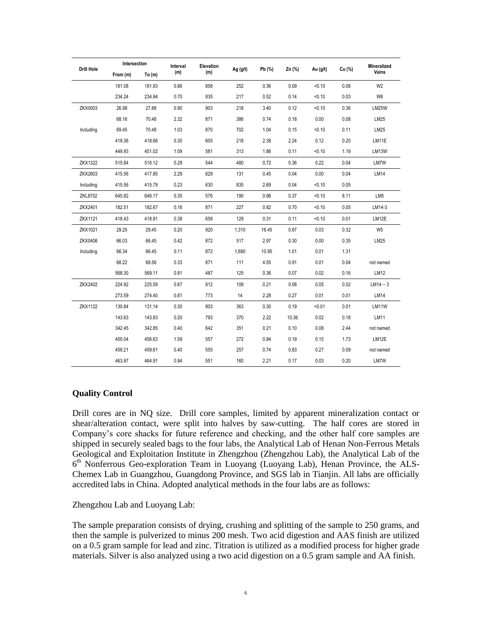| <b>Drill Hole</b> | Intersection |          | Interval | Elevation |            |        |        | Au (g/t) | Cu (%) | <b>Mineralized</b> |
|-------------------|--------------|----------|----------|-----------|------------|--------|--------|----------|--------|--------------------|
|                   | From (m)     | To $(m)$ | (m)      | (m)       | Ag $(g/t)$ | Pb (%) | Zn (%) |          |        | Veins              |
|                   | 181.08       | 181.93   | 0.86     | 858       | 252        | 0.36   | 0.09   | < 0.10   | 0.08   | W <sub>2</sub>     |
|                   | 234.24       | 234.94   | 0.70     | 835       | 217        | 0.52   | 0.14   | < 0.10   | 0.03   | W <sub>6</sub>     |
| ZKX0003           | 26.98        | 27.88    | 0.90     | 903       | 218        | 3.40   | 0.12   | < 0.10   | 0.36   | <b>LM25W</b>       |
|                   | 68.16        | 70.48    | 2.32     | 871       | 386        | 0.74   | 0.18   | 0.00     | 0.08   | LM25               |
| Including         | 69.45        | 70.48    | 1.03     | 870       | 702        | 1.04   | 0.15   | < 0.10   | 0.11   | LM25               |
|                   | 418.36       | 418.66   | 0.30     | 605       | 218        | 2.38   | 2.24   | 0.12     | 0.20   | LM11E              |
|                   | 449.93       | 451.02   | 1.09     | 581       | 313        | 1.86   | 0.11   | < 0.10   | 1.19   | LM13W              |
| ZKX1322           | 515.84       | 516.12   | 0.28     | 544       | 480        | 0.72   | 0.36   | 0.22     | 0.04   | LM7W               |
| ZKX2603           | 415.56       | 417.85   | 2.29     | 629       | 131        | 0.45   | 0.04   | 0.00     | 0.04   | LM14               |
| Including         | 415.56       | 415.79   | 0.23     | 630       | 835        | 2.69   | 0.04   | < 0.10   | 0.05   |                    |
| ZKL8702           | 645.82       | 646.17   | 0.35     | 576       | 190        | 0.96   | 0.37   | < 0.10   | 8.11   | LM <sub>5</sub>    |
| ZKX2401           | 182.51       | 182.67   | 0.16     | 871       | 227        | 0.82   | 0.70   | < 0.10   | 0.05   | LM14-3             |
| <b>ZKX1121</b>    | 418.43       | 418.81   | 0.38     | 658       | 129        | 0.31   | 0.11   | < 0.10   | 0.01   | LM12E              |
| ZKX1021           | 29.25        | 29.45    | 0.20     | 920       | 1,310      | 16.45  | 0.67   | 0.03     | 0.32   | W <sub>5</sub>     |
| ZKX0406           | 66.03        | 66.45    | 0.42     | 872       | 517        | 2.97   | 0.30   | 0.00     | 0.35   | LM25               |
| Including         | 66.34        | 66.45    | 0.11     | 872       | 1,680      | 10.95  | 1.01   | 0.01     | 1.31   |                    |
|                   | 68.22        | 68.56    | 0.33     | 871       | 111        | 4.55   | 0.91   | 0.01     | 0.04   | not named          |
|                   | 568.30       | 569.11   | 0.81     | 487       | 125        | 0.36   | 0.07   | 0.02     | 0.16   | LM12               |
| ZKX2402           | 224.92       | 225.59   | 0.67     | 812       | 109        | 0.21   | 0.08   | 0.05     | 0.02   | $LM14-3$           |
|                   | 273.59       | 274.40   | 0.81     | 773       | 14         | 2.28   | 0.27   | 0.01     | 0.01   | LM14               |
| <b>ZKX1122</b>    | 130.84       | 131.14   | 0.30     | 803       | 363        | 0.30   | 0.19   | < 0.01   | 0.01   | LM11W              |
|                   | 143.63       | 143.83   | 0.20     | 793       | 370        | 2.22   | 10.36  | 0.02     | 0.18   | LM11               |
|                   | 342.45       | 342.85   | 0.40     | 642       | 351        | 0.21   | 0.10   | 0.08     | 2.44   | not named          |
|                   | 455.04       | 456.63   | 1.59     | 557       | 272        | 0.84   | 0.19   | 0.15     | 1.73   | LM12E              |
|                   | 459.21       | 459.61   | 0.40     | 555       | 257        | 0.74   | 0.83   | 0.27     | 0.09   | not named          |
|                   | 463.97       | 464.91   | 0.94     | 551       | 160        | 2.21   | 0.17   | 0.03     | 0.20   | LM7W               |

# **Quality Control**

Drill cores are in NQ size. Drill core samples, limited by apparent mineralization contact or shear/alteration contact, were split into halves by saw-cutting. The half cores are stored in Company's core shacks for future reference and checking, and the other half core samples are shipped in securely sealed bags to the four labs, the Analytical Lab of Henan Non-Ferrous Metals Geological and Exploitation Institute in Zhengzhou (Zhengzhou Lab), the Analytical Lab of the 6<sup>th</sup> Nonferrous Geo-exploration Team in Luoyang (Luoyang Lab), Henan Province, the ALS-Chemex Lab in Guangzhou, Guangdong Province, and SGS lab in Tianjin. All labs are officially accredited labs in China. Adopted analytical methods in the four labs are as follows:

Zhengzhou Lab and Luoyang Lab:

The sample preparation consists of drying, crushing and splitting of the sample to 250 grams, and then the sample is pulverized to minus 200 mesh. Two acid digestion and AAS finish are utilized on a 0.5 gram sample for lead and zinc. Titration is utilized as a modified process for higher grade materials. Silver is also analyzed using a two acid digestion on a 0.5 gram sample and AA finish.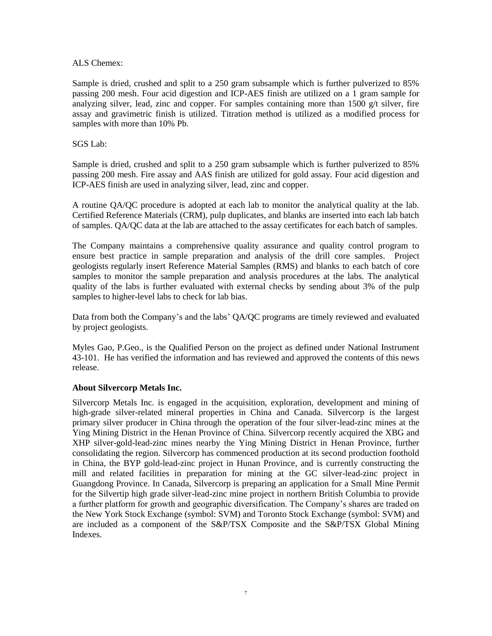#### ALS Chemex:

Sample is dried, crushed and split to a 250 gram subsample which is further pulverized to 85% passing 200 mesh. Four acid digestion and ICP-AES finish are utilized on a 1 gram sample for analyzing silver, lead, zinc and copper. For samples containing more than  $1500 \text{ g/t}$  silver, fire assay and gravimetric finish is utilized. Titration method is utilized as a modified process for samples with more than 10% Pb.

### SGS Lab:

Sample is dried, crushed and split to a 250 gram subsample which is further pulverized to 85% passing 200 mesh. Fire assay and AAS finish are utilized for gold assay. Four acid digestion and ICP-AES finish are used in analyzing silver, lead, zinc and copper.

A routine QA/QC procedure is adopted at each lab to monitor the analytical quality at the lab. Certified Reference Materials (CRM), pulp duplicates, and blanks are inserted into each lab batch of samples. QA/QC data at the lab are attached to the assay certificates for each batch of samples.

The Company maintains a comprehensive quality assurance and quality control program to ensure best practice in sample preparation and analysis of the drill core samples. Project geologists regularly insert Reference Material Samples (RMS) and blanks to each batch of core samples to monitor the sample preparation and analysis procedures at the labs. The analytical quality of the labs is further evaluated with external checks by sending about 3% of the pulp samples to higher-level labs to check for lab bias.

Data from both the Company's and the labs' QA/QC programs are timely reviewed and evaluated by project geologists.

Myles Gao, P.Geo., is the Qualified Person on the project as defined under National Instrument 43-101. He has verified the information and has reviewed and approved the contents of this news release.

# **About Silvercorp Metals Inc.**

Silvercorp Metals Inc. is engaged in the acquisition, exploration, development and mining of high-grade silver-related mineral properties in China and Canada. Silvercorp is the largest primary silver producer in China through the operation of the four silver-lead-zinc mines at the Ying Mining District in the Henan Province of China. Silvercorp recently acquired the XBG and XHP silver-gold-lead-zinc mines nearby the Ying Mining District in Henan Province, further consolidating the region. Silvercorp has commenced production at its second production foothold in China, the BYP gold-lead-zinc project in Hunan Province, and is currently constructing the mill and related facilities in preparation for mining at the GC silver-lead-zinc project in Guangdong Province. In Canada, Silvercorp is preparing an application for a Small Mine Permit for the Silvertip high grade silver-lead-zinc mine project in northern British Columbia to provide a further platform for growth and geographic diversification. The Company's shares are traded on the New York Stock Exchange (symbol: SVM) and Toronto Stock Exchange (symbol: SVM) and are included as a component of the S&P/TSX Composite and the S&P/TSX Global Mining Indexes.